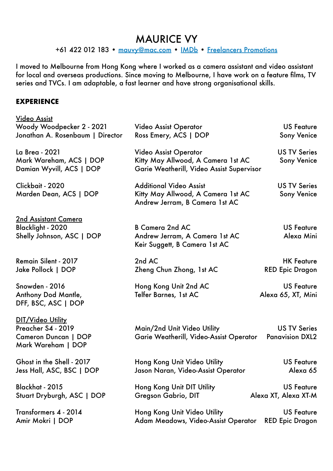## MAURICE VY

+61 422 012 183 • [mauvy@mac.com](mailto:mauvy@mac.com) • [IMDb](https://www.imdb.com/name/nm3723261/?ref_=nv_sr_srsg_0) • [Freelancers Promotions](mailto:info@freelancers.com.au)

I moved to Melbourne from Hong Kong where I worked as a camera assistant and video assistant for local and overseas productions. Since moving to Melbourne, I have work on a feature films, TV series and TVCs. I am adaptable, a fast learner and have strong organisational skills.

## **EXPERIENCE**

| <u>Video Assist</u>                                                                          |                                                                                                                 |                                               |
|----------------------------------------------------------------------------------------------|-----------------------------------------------------------------------------------------------------------------|-----------------------------------------------|
| Woody Woodpecker 2 - 2021<br>Jonathan A. Rosenbaum   Director                                | <b>Video Assist Operator</b><br>Ross Emery, ACS   DOP                                                           | <b>US Feature</b><br><b>Sony Venice</b>       |
| La Brea - 2021<br>Mark Wareham, ACS   DOP<br>Damian Wyvill, ACS   DOP                        | <b>Video Assist Operator</b><br>Kitty May Allwood, A Camera 1st AC<br>Garie Weatherill, Video Assist Supervisor | <b>US TV Series</b><br><b>Sony Venice</b>     |
| Clickbait - 2020<br>Marden Dean, ACS   DOP                                                   | <b>Additional Video Assist</b><br>Kitty May Allwood, A Camera 1st AC<br>Andrew Jerram, B Camera 1st AC          | <b>US TV Series</b><br><b>Sony Venice</b>     |
| <u>2nd Assistant Camera</u><br>Blacklight - 2020<br>Shelly Johnson, ASC   DOP                | <b>B Camera 2nd AC</b><br>Andrew Jerram, A Camera 1st AC<br>Keir Suggett, B Camera 1st AC                       | <b>US Feature</b><br>Alexa Mini               |
| Remain Silent - 2017<br>Jake Pollock   DOP                                                   | 2nd AC<br>Zheng Chun Zhong, 1st AC                                                                              | <b>HK Feature</b><br><b>RED Epic Dragon</b>   |
| Snowden - 2016<br>Anthony Dod Mantle,<br>DFF, BSC, ASC   DOP                                 | Hong Kong Unit 2nd AC<br>Telfer Barnes, 1st AC                                                                  | <b>US Feature</b><br>Alexa 65, XT, Mini       |
| DIT/Video Utility<br>Preacher S4 - 2019<br><b>Cameron Duncan   DOP</b><br>Mark Wareham   DOP | Main/2nd Unit Video Utility<br>Garie Weatherill, Video-Assist Operator                                          | <b>US TV Series</b><br><b>Panavision DXL2</b> |
| Ghost in the Shell - 2017<br>Jess Hall, ASC, BSC   DOP                                       | Hong Kong Unit Video Utility<br>Jason Naran, Video-Assist Operator                                              | <b>US Feature</b><br>Alexa 65                 |
| Blackhat - 2015<br>Stuart Dryburgh, ASC   DOP                                                | Hong Kong Unit DIT Utility<br>Gregson Gabrio, DIT                                                               | <b>US Feature</b><br>Alexa XT, Alexa XT-M     |
| Transformers 4 - 2014<br>Amir Mokri   DOP                                                    | Hong Kong Unit Video Utility<br>Adam Meadows, Video-Assist Operator                                             | <b>US Feature</b><br><b>RED Epic Dragon</b>   |